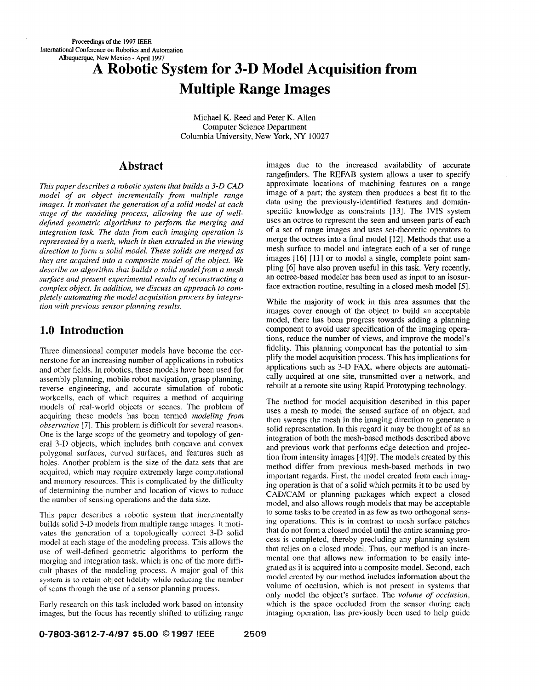# **A Robotic System for 3-D Model Acquisition from Multiple Range Images**

Michael K. Reed and Peter K. Allen Computer Science Department Columbia University, New York, NY 10027

#### **Abstract**

*This paper describes a robotic system that builds a 3-0 CAD model of an object incrementally from multiple range images. It motivates the generation of a solid model at each stage of the modeling process, allowing the use of welldejined geometric algorithms to peform the merging and integration task. The data from each imaging operation is represented by a mesh, which is then extruded in the viewing direction to form a solid model. These solids are merged as they are acquired into a composite model of the object. We describe an algorithm that builds a solid model from a mesh surface and present experimental results of reconstructing a complex object. In addition, we discuss an approach to completely automating the model acquisition process by integration with previous sensor planning results.* 

## **1.0 Introduction**

Three dimensional computer models have become the cornerstone for an increasing number of applications in robotics and other fields. In robotics, these models have been used for assembly planning, mobile robot navigation, grasp planning, reverse engineering, and accurate simulation of robotic workcells, each of which requires a method of acquiring models of real-world objects or scenes. The problem of acquiring these models has been termed *modeling from observation* [7]. This problem is difficult for several reasons. One is the large scope of the geometry and topology of general 3-D objects, which includes both concave and convex polygonal surfaces, curved surfaces, and features such as holes. Another problem is the size of the data sets that are acquired, which may require extremely large computational and memory resources. This is complicated by the difficulty of determining the number and location of views to reduce the number of sensing operations and the data size.

This paper describes a robotic system that incrementally builds solid 3-D models from multiple range images. It motivates the generation of a topologically correct **3-D** solid model at each stage of the modeling process. This allows the use of well-defined geometric algorithms to perform the merging and integration task, which is one of the more difficult phases of the modeling process. A major goal of this system is to retain object **fidelity** while redwing the number of scans through the use of a sensor planning process.

Early research on this task included work based on intensity images, but the focus has recently shifted to utilizing range images due to the increased availability of accurate rangefinders. The REFAB system allows a user to specify approximate locations of machining features on a range image of a part; the system then produces a best fit to the data using the previously -identified features and domainspecific knowledge as constraints [ **131.** The IVIS system uses an octree to represent the seen and unseen parts of each of a set of range images and uses set-theoretic operators to merge the octrees into a final model [12]. Methods that use a mesh surface to model and integrate each of a set of range images [16] [11] or to model a single, complete point sampling [6] have also proven useful in this task. Very recently, an octree-based modeler has been used as input to an isosurface extraction routine, resulting in a closed mesh model [5].

While the majority of work in this area assumes that the images cover enough of the object to build an acceptable model, there has been progress towards adding a planning component to avoid user specification of the imaging operations, reduce the number of' views, and improve the model's fidelity. This planning component has the potential to simplify the model acquisition process. This has implications for applications such as  $3-D$  FAX, where objects are automatically acquired at one site, transmitted over a network, and rebuilt at a remote site using Rapid Prototyping technology.

The method for model acquisition described in this paper uses a mesh to model the sensed surface of an object, and then sweeps the mesh in the imaging direction to generate a solid representation. In this regard it may be thought of as an integration of both the mesh-based methods described above and previous work that performs edge detection and projection from intensity images [4][9]. The models created by this method differ from previous mesh-based methods in two important regards. First, the model created from each imaging operation is that of a solid which permits it to be used by **CAD/CAM** or planning packages which expect a closed model, and also allows rough models that may be acceptable to some tasks to be created in as few as two orthogonal sensing operations. This is in contrast *to* mesh surface patches that do not form a closed model until the entire scanning process is completed, thereby precluding any planning system that relies on a closed model. Thus, our method is an incremental one that allows new information to be easily integrated as it is acquired into a composite model. Second, each model created by our method **includes** information about the volume of occlusion, which is not present in systems that only model the object's surface. The *volume of occlusion,*  which is the space occluded from the sensor during each imaging operation, has previously been used to help guide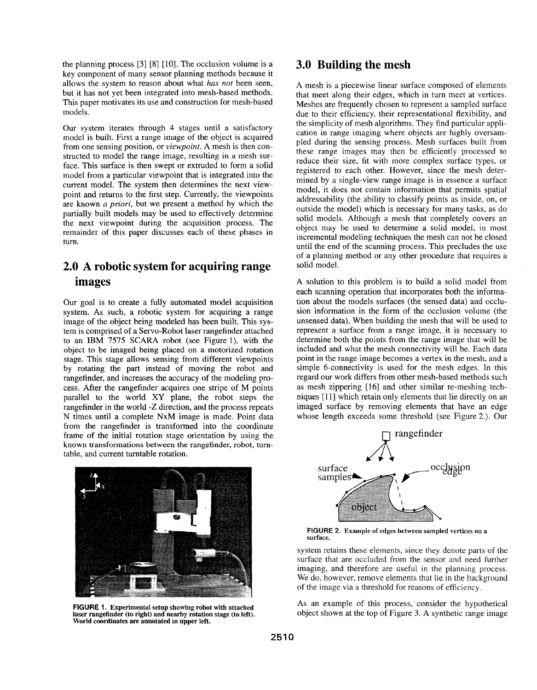the planning process [3] [8] [lo]. The occlusion volume is a key component of many sensor planning methods because it allows the system to reason about what *has not* been seen, but it has not yet been integrated into mesh-based methods. This paper motivates its use and construction for mesh-based models.

Our system iterates through 4 stages until a satisfactory model is built. First a range image of the object is acquired from one sensing position, or *viewpoint.* **A** mesh is then constructed to model the range image, resulting in a mesh surface. This surface is then swept or extruded to form a solid model from a particular viewpoint that is integrated into the current model. The system then determines the next viewpoint and returns to the first step. Currently, the viewpoints are known *a priori,* but we present a method by which the partially built models may be used to effectively determine the next viewpoint during the acquisition process. The remainder of this paper discusses each of these phases in turn.

## **2.0 A robotic system for acquiring range images**

Our goal is to create a fully automated model acquisition system. As such, a robotic system for acquiring a range image of the object being modeled has been built. This system is comprised of a Servo-Robot laser rangefinder attached to an IBM 7575 SCARA robot (see Figure l), with the object to be imaged being placed on a motorized rotation stage. This stage allows sensing from different viewpoints by rotating the part instead of moving the robot and rangefinder, and increases the accuracy of the modeling process. After the rangefinder acquires one stripe of M points parallel to the world XY plane, the robot steps the rangefinder in the world -Z direction, and the process repeats N times until a complete NxM image is made. Point data from the rangefinder is transformed into the coordinate frame of the initial rotation stage orientation by using the known transformations between the rangefinder, robot, turntable, and current tumtable rotation.



**FIGURE 1. Experimental setup showing robot with attached laser rangefinder (to right) and nearby rotation stage (to left). World coordinates are annotated in upper left.** 

## **3.0 Building the mesh**

**A** mesh is a piecewise linear surface composed of elements that meet along their edges, which in turn meet at vertices. Meshes are frequently chosen to represent a sampled surface due to their efficiency, their representational flexibility, and the simplicity of mesh algorithms. They find particular application in range imaging where objects are highly oversampled during the sensing process. Mesh surfaces built from these range images may then be efficiently processed to reduce their size, fit with more complex surface types, or registered to each other. However, since the mesh determined by a single-view range image is in essence a surface model, it does not contain information that permits spatial addressability (the ability to classify points as inside, on, or outside the model) which is necessary for many tasks, as do solid models. Although a mesh that completely covers an object may be used to determine a solid model, in most incremental modeling techniques the mesh can not be closed until the end of the scanning process. This precludes the use of a planning method or any other procedure that requires a solid model.

**A** solution to this problem is to build a solid model from each scanning operation that incorporates both the information about the models surfaces (the sensed data) and occlusion information in the form of the occlusion volume (the unsensed data). When building the mesh that will be used to represent a surface from a range image, it is necessary to determine both the points from the range image that will be included and what the mesh connectivity will be. Each data point in the range image becomes a vertex in the mesh, and a simple 6-connectivity is used for the mesh edges. In this regard our work differs from other mesh-based methods such as mesh zippering [16] and other similar re-meshing techniques [11] which retain only elements that lie directly on an imaged surface by removing elements that have an edge whose length exceeds some threshold (see Figure 2.). Our



**FIGURE 2. Example of edges between sampled vertices on a surface.** 

system retains these elements, since they denote parts of the surface that are occluded from the sensor and need further imaging, and therefore are useful in the planning process. We do, however, remove elements that lie in the background of the image via a threshold for reasons of efficiency.

As an example of this process, consider the hypothetical object shown at the top of [Figure](#page-2-0) **3.** A synthetic range image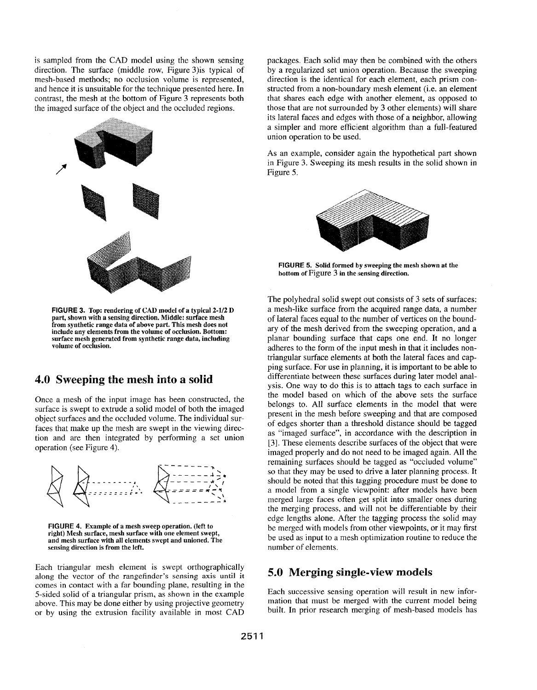<span id="page-2-0"></span>is sampled from the **CAD** model using the shown sensing direction. The surface (middle row, Figure 3)is typical of mesh-based methods; no occlusion volume is represented, and hence it is unsuitable for the technique presented here. In contrast, the mesh at the bottom of Figure 3 represents both the imaged surface of the object and the occluded regions.



**FIGURE 3. Top: rendering of CAD model of a typical 2-1/2 D part, shown with a sensing direction. Middle: surface mesh from synthetic range data of above part. This mesh does not include any elements from the volume of occlusion. Bottom: surface mesh generated from synthetic range data, including volume of occlusion.** 

#### **4.0 Sweeping the mesh into a solid**

Once a mesh of the input image has been constructed, the surface is swept to extrude a solid model of both the imaged object surfaces and the occluded volume. The individual surfaces that make up the mesh are swept in the viewing direction and are then integrated by performing a set union operation (see Figure **4).** 



**FIGURE 4. Example of a mesh sweep operation. (left to right) Mesh surface, mesh surface with one element swept, and mesh surface with all elements swept and unioned. The sensing direction is from the left.** 

Each triangular mesh element is swept orthographically along the vector of the rangefinder's sensing axis until it comes in contact with a far bounding plane, resulting in the 5-sided solid of a triangular prism, as shown in the example above. This may be done either by using projective geometry or by using the extrusion facility available in most **CAD**  packages. Each solid may then be combined with the others by a regularized set union operation. Because the sweeping direction is the identical for each element, each prism constructed from a non-boundary mesh element (i.e. an element that shares each edge with another element, as opposed to those that are not surrounded by 3 other elements) will share its lateral faces and edges with those of a neighbor, allowing a simpler and more efficient algorithm than a full-featured union operation to be used.

**As** an example, consider again the hypothetical part shown in Figure **3.** Sweeping its mesh results in the solid shown in Figure 5.



**FIGURE 5.** Solid formed by sweeping the mesh shown at the **bottom of** Figure **3 in the isensing direction.** 

The polyhedral solid swept out consists of 3 sets of surfaces: a mesh-like surface from the acquired range data, a number of lateral faces equal to the: number of vertices on the boundary of the mesh derived from the sweeping operation, and a planar bounding surface that caps one end. It no longer adheres to the form of the input mesh in that it includes nontriangular surface elements at both the lateral faces and capping surface. For use in planning, it is important to be able to differentiate between these surfaces during later model analysis. One way to do this is to attach tags to each surface in the model based on which of the above sets the surface belongs to. All surface elements in the model that were present in the mesh before sweeping and that are composed of edges shorter than a threshold distance should be tagged as "imaged surface", in accordance with the description in **131.** These elements describe surfaces of the object that were imaged properly and do not need to be imaged again. All the remaining surfaces should be tagged as "occluded volume" so that they may be used to drive a later planning process. It should be noted that this tagging procedure must be done to a model from a single viewpoint: after models have been merged large faces often get split into smaller ones during the merging process, and will not be differentiable by their edge lengths alone. After the tagging process the solid may be merged with models from other viewpoints, or it may first be used as input to a mesh optimization routine to reduce the number of elements.

#### **5.0 Merging single-view models**

Each successive sensing operation will result in new information that must be merged with the current model being built. In prior research merging of mesh-based models has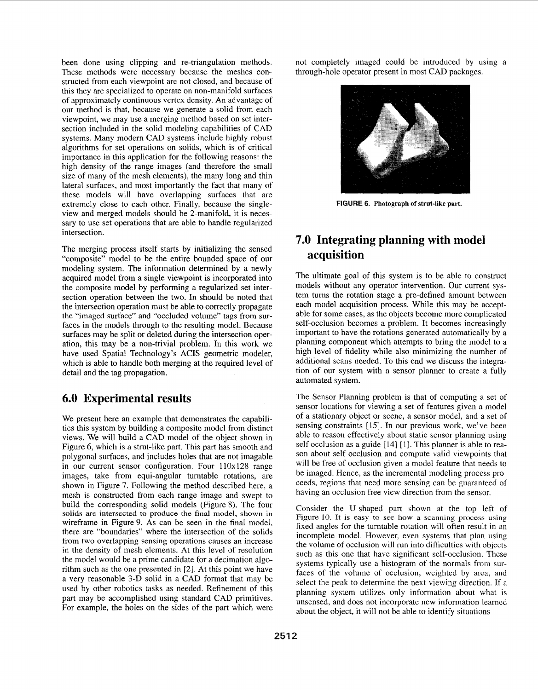<span id="page-3-0"></span>been done using clipping and re-triangulation methods. These methods were necessary because the meshes constructed from each viewpoint are not closed, and because of this they are specialized to operate on non-manifold surfaces of approximately continuous vertex density. An advantage of our method is that, because we generate a solid from each viewpoint, we may use a merging method based on set intersection included in the solid modeling capabilities of CAD systems. Many modern CAD systems include highly robust algorithms for set operations on solids, which is of critical importance in this application for the following reasons: the high density of the range images (and therefore the small size of many of the mesh elements), the many long and thin lateral surfaces, and most importantly the fact that many of these models will have overlapping surfaces that are extremely close to each other. Finally, because the singleview and merged models should be 2-manifold, it is necessary to use set operations that are able to handle regularized intersection.

The merging process itself starts by initializing the sensed "composite" model to be the entire bounded space of our modeling system. The information determined by a newly acquired model from a single viewpoint is incorporated into the composite model by performing a regularized set intersection operation between the two. In should be noted that the intersection operation must be able to correctly propagate the "imaged surface" and "occluded volume" tags from surfaces in the models through to the resulting model. Because surfaces may be split or deleted during the intersection operation, this may be a non-trivial problem. In this work we have used Spatial Technology's ACIS geometric modeler, which is able to handle both merging at the required level **of**  detail and the tag propagation.

## **6.0 Experimental results**

We present here an example that demonstrates the capabilities this system by building a composite model from distinct views. We will build a CAD model of the object shown in Figure **6,** which is a strut-like part. This part has smooth and polygonal surfaces, and includes holes that are not imagable in our current sensor configuration. Four 110x128 range images, take from equi-angular turntable rotations, are shown in [Figure 7.](#page-4-0) Following the method described here, a mesh is constructed from each range image and swept to build the corresponding solid models (Figure 8). The four **solids** are intersected to produce **the final** model, **shown** in wireframe in [Figure 9.](#page-4-0) As can be seen in the final model, there are "boundaries" where the intersection of the solids from two overlapping sensing operations causes an increase in the density of mesh elements. At this level of resolution the model would be a prime candidate for a decimation algorithm such as the one presented in *[2].* At this point we have a very reasonable 3-D solid in a CAD format that may be used by other robotics tasks as needed. Refinement of this part may be accomplished using standard CAD primitives. For example, the holes on the sides of the part which were not completely imaged could be introduced by using a through-hole operator present in most CAD packages.



**FIGURE 6. Photograph of strut-like part.** 

# **7.0 Integrating planning with model acquisition**

The ultimate goal of this system is to be able to construct models without any operator intervention. Our current system turns the rotation stage a pre-defined amount between each model acquisition process. While this may be acceptable for some cases, as the objects become more complicated self-occlusion becomes a problem. It becomes increasingly important to have the rotations generated automatically by **a**  planning component which attempts to bring the model to a high level of fidelity while also minimizing the number of additional scans needed. To this end we discuss the integration of our system with a sensor planner to create a fully automated system.

The Sensor Planning problem is that of computing a set of sensor locations for viewing a set of features given a model of a stationary object or scene, a sensor model, and a set of sensing constraints [15]. In our previous work, we've been able to reason effectively about static sensor planning using self occlusion as a guide [14] [1]. This planner is able to reason about self occlusion and compute valid viewpoints that will be free of occlusion given a model feature that needs to be imaged. Hence, as the incremental modeling process proceeds, regions that need more sensing can be guaranteed of having an occlusion free view direction from the sensor.

Consider the U-shaped part shown at the top left of Figure 10. **It** is easy to *see* how a scanning process using fixed angles for the turntable rotation will often result in an incomplete model. However, even systems that plan using the volume of occlusion will run into difficulties with objects such as this one that have significant self-occlusion. These systems typically use a histogram of the normals from surfaces of the volume of occlusion, weighted by area, and select the peak to determine the next viewing direction. If a planning system utilizes only information about what is unsensed, and does not incorporate new information learned about the object, it will not be able to identify situations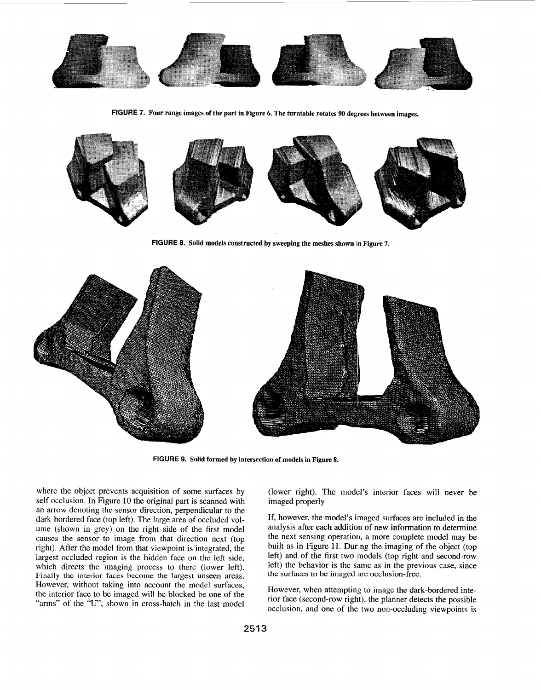<span id="page-4-0"></span>

**FIGURE 7. Four range images of the part in [Figure 6.](#page-3-0) The turntable rotates 90 degrees between images.** 



**FIGURE 8. Solid models constructed by sweeping the meshes shown** iin **Figure 7.** 



**FIGURE 9. Solid formed by intersection of models in Figure 8.** 

where the object prevents acquisition of some surfaces by self occlusion. In Figure 10 the original part is scanned with an arrow denoting the sensor direction, perpendicular to the dark-bordered face (top left). The large area of occluded volume (shown in grey) on the right side of the first model causes the sensor to image from that direction next (top right). After the model from that viewpoint is integrated, the largest occluded region is the hidden face on the left side, which directs the imaging process to there (lower left). Finally the interior faces become the largest unseen areas. However, without taking into account the model surfaces, the interior face to be imaged will be blocked be one of the "arms" of the "U", shown in cross-hatch in the last model

(lower right). The model's interior faces will never be imaged properly

If, however, the model's imaged surfaces are included in the analysis after each addition of new information to determine the next sensing operation, a more complete model may be built as in [Figure 11.](#page-5-0) During the imaging of the object (top left) and of the first two models (top right and second-row left) the behavior is the same as in the previous case, since the surfaces to be imaged *ire* occlusion-free.

However, when attempting to image the dark-bordered interior face (second-row right), the planner detects the possible occlusion, and one of the two non-occluding viewpoints is